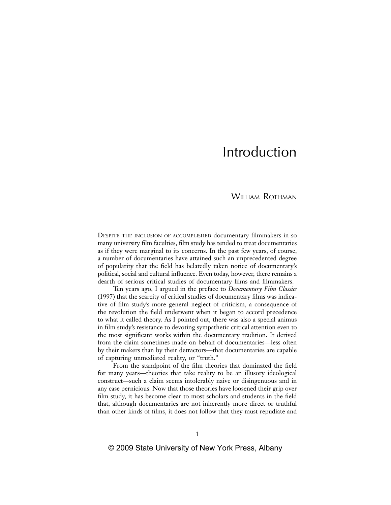# Introduction

## WILLIAM ROTHMAN

DESPITE THE INCLUSION OF ACCOMPLISHED documentary filmmakers in so many university film faculties, film study has tended to treat documentaries as if they were marginal to its concerns. In the past few years, of course, a number of documentaries have attained such an unprecedented degree of popularity that the field has belatedly taken notice of documentary's political, social and cultural influence. Even today, however, there remains a dearth of serious critical studies of documentary films and filmmakers.

Ten years ago, I argued in the preface to *Documentary Film Classics*  $(1997)$  that the scarcity of critical studies of documentary films was indicative of film study's more general neglect of criticism, a consequence of the revolution the field underwent when it began to accord precedence to what it called theory. As I pointed out, there was also a special animus in film study's resistance to devoting sympathetic critical attention even to the most significant works within the documentary tradition. It derived from the claim sometimes made on behalf of documentaries—less often by their makers than by their detractors—that documentaries are capable of capturing unmediated reality, or "truth."

From the standpoint of the film theories that dominated the field for many years—theories that take reality to be an illusory ideological construct—such a claim seems intolerably naive or disingenuous and in any case pernicious. Now that those theories have loosened their grip over film study, it has become clear to most scholars and students in the field that, although documentaries are not inherently more direct or truthful than other kinds of films, it does not follow that they must repudiate and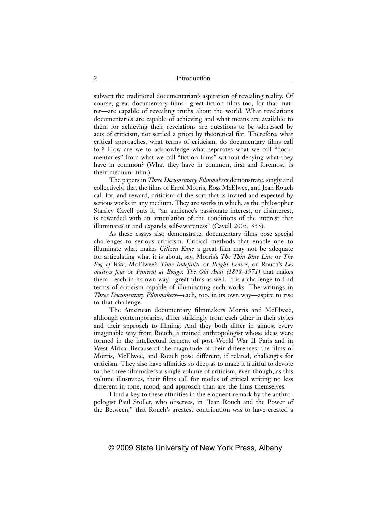subvert the traditional documentarian's aspiration of revealing reality. Of course, great documentary films—great fiction films too, for that matter—are capable of revealing truths about the world. What revelations documentaries are capable of achieving and what means are available to them for achieving their revelations are questions to be addressed by acts of criticism, not settled a priori by theoretical fiat. Therefore, what critical approaches, what terms of criticism, do documentary films call for? How are we to acknowledge what separates what we call "documentaries" from what we call "fiction films" without denying what they have in common? (What they have in common, first and foremost, is their medium: film.)

The papers in *Three Documentary Filmmakers* demonstrate, singly and collectively, that the films of Errol Morris, Ross McElwee, and Jean Rouch call for, and reward, criticism of the sort that is invited and expected by serious works in any medium. They are works in which, as the philosopher Stanley Cavell puts it, "an audience's passionate interest, or disinterest, is rewarded with an articulation of the conditions of the interest that illuminates it and expands self-awareness" (Cavell 2005, 335).

As these essays also demonstrate, documentary films pose special challenges to serious criticism. Critical methods that enable one to illuminate what makes *Citizen Kane* a great film may not be adequate for articulating what it is about, say, Morris's *The Thin Blue Line* or *The Fog of War*, McElwee's *Time Indefinite* or *Bright Leaves*, or Rouch's *Les maîtres fous* or *Funeral at Bongo: The Old Anaï (1848–1971)* that makes them—each in its own way—great films as well. It is a challenge to find terms of criticism capable of illuminating such works. The writings in *Three Documentary Filmmakers*—each, too, in its own way—aspire to rise to that challenge.

The American documentary filmmakers Morris and McElwee, although contemporaries, differ strikingly from each other in their styles and their approach to filming. And they both differ in almost every imaginable way from Rouch, a trained anthropologist whose ideas were formed in the intellectual ferment of post–World War II Paris and in West Africa. Because of the magnitude of their differences, the films of Morris, McElwee, and Rouch pose different, if related, challenges for criticism. They also have affinities so deep as to make it fruitful to devote to the three filmmakers a single volume of criticism, even though, as this volume illustrates, their films call for modes of critical writing no less different in tone, mood, and approach than are the films themselves.

I find a key to these affinities in the eloquent remark by the anthropologist Paul Stoller, who observes, in "Jean Rouch and the Power of the Between," that Rouch's greatest contribution was to have created a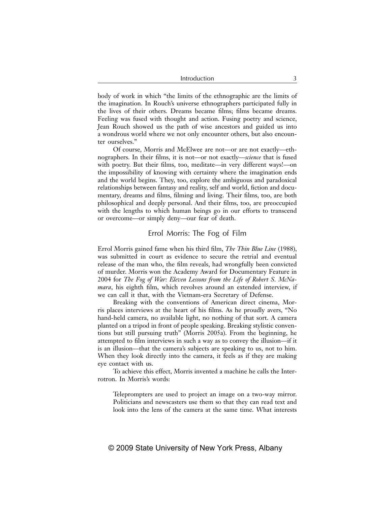body of work in which "the limits of the ethnographic are the limits of the imagination. In Rouch's universe ethnographers participated fully in the lives of their others. Dreams became films; films became dreams. Feeling was fused with thought and action. Fusing poetry and science, Jean Rouch showed us the path of wise ancestors and guided us into a wondrous world where we not only encounter others, but also encounter ourselves."

Of course, Morris and McElwee are not—or are not exactly—ethnographers. In their films, it is not—or not exactly—*science* that is fused with poetry. But their films, too, meditate—in very different ways!—on the impossibility of knowing with certainty where the imagination ends and the world begins. They, too, explore the ambiguous and paradoxical relationships between fantasy and reality, self and world, fiction and documentary, dreams and films, filming and living. Their films, too, are both philosophical and deeply personal. And their films, too, are preoccupied with the lengths to which human beings go in our efforts to transcend or overcome—or simply deny—our fear of death.

### Errol Morris: The Fog of Film

Errol Morris gained fame when his third film, *The Thin Blue Line* (1988), was submitted in court as evidence to secure the retrial and eventual release of the man who, the film reveals, had wrongfully been convicted of murder. Morris won the Academy Award for Documentary Feature in 2004 for *The Fog of War: Eleven Lessons from the Life of Robert S. McNamara*, his eighth film, which revolves around an extended interview, if we can call it that, with the Vietnam-era Secretary of Defense.

Breaking with the conventions of American direct cinema, Morris places interviews at the heart of his films. As he proudly avers, "No hand-held camera, no available light, no nothing of that sort. A camera planted on a tripod in front of people speaking. Breaking stylistic conventions but still pursuing truth" (Morris 2005a). From the beginning, he attempted to film interviews in such a way as to convey the illusion—if it is an illusion—that the camera's subjects are speaking to us, not to him. When they look directly into the camera, it feels as if they are making eye contact with us.

To achieve this effect, Morris invented a machine he calls the Interrotron. In Morris's words:

Teleprompters are used to project an image on a two-way mirror. Politicians and newscasters use them so that they can read text and look into the lens of the camera at the same time. What interests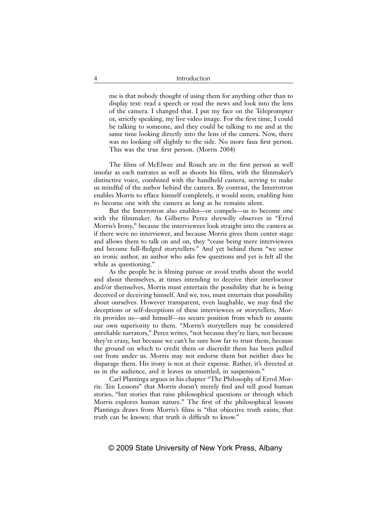me is that nobody thought of using them for anything other than to display text: read a speech or read the news and look into the lens of the camera. I changed that. I put my face on the Teleprompter or, strictly speaking, my live video image. For the first time, I could be talking to someone, and they could be talking to me and at the same time looking directly into the lens of the camera. Now, there was no looking off slightly to the side. No more faux first person. This was the true first person. (Morris 2004)

The films of McElwee and Rouch are in the first person as well insofar as each narrates as well as shoots his films, with the filmmaker's distinctive voice, combined with the handheld camera, serving to make us mindful of the author behind the camera. By contrast, the Interrotron enables Morris to efface himself completely, it would seem, enabling him to become one with the camera as long as he remains silent.

But the Interrotron also enables—or compels—us to become one with the filmmaker. As Gilberto Perez shrewdly observes in "Errol" Morris's Irony," because the interviewees look straight into the camera as if there were no interviewer, and because Morris gives them center stage and allows them to talk on and on, they "cease being mere interviewees and become full-fledged storytellers." And yet behind them "we sense an ironic author, an author who asks few questions and yet is felt all the while as questioning."

As the people he is filming pursue or avoid truths about the world and about themselves, at times intending to deceive their interlocutor and/or themselves, Morris must entertain the possibility that he is being deceived or deceiving himself. And we, too, must entertain that possibility about ourselves. However transparent, even laughable, we may find the deceptions or self-deceptions of these interviewees or storytellers, Morris provides us—and himself—no secure position from which to assume our own superiority to them. "Morris's storytellers may be considered unreliable narrators," Perez writes, "not because they're liars, not because they're crazy, but because we can't be sure how far to trust them, because the ground on which to credit them or discredit them has been pulled out from under us. Morris may not endorse them but neither does he disparage them. His irony is not at their expense. Rather, it's directed at us in the audience, and it leaves us unsettled, in suspension."

Carl Plantinga argues in his chapter "The Philosophy of Errol Morris: Ten Lessons" that Morris doesn't merely find and tell good human stories, "but stories that raise philosophical questions or through which Morris explores human nature." The first of the philosophical lessons Plantinga draws from Morris's films is "that objective truth exists; that truth can be known; that truth is difficult to know."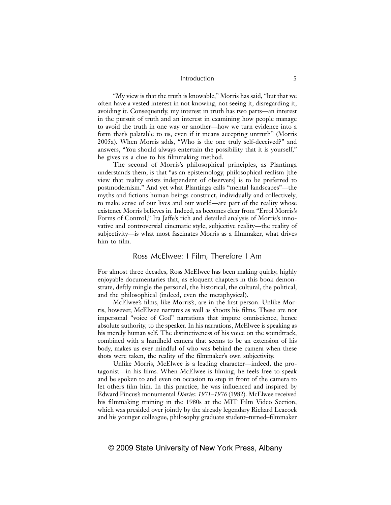"My view is that the truth is knowable," Morris has said, "but that we often have a vested interest in not knowing, not seeing it, disregarding it, avoiding it. Consequently, my interest in truth has two parts—an interest in the pursuit of truth and an interest in examining how people manage to avoid the truth in one way or another—how we turn evidence into a form that's palatable to us, even if it means accepting untruth" (Morris 2005a). When Morris adds, "Who is the one truly self-deceived?" and answers, "You should always entertain the possibility that it is yourself," he gives us a clue to his filmmaking method.

The second of Morris's philosophical principles, as Plantinga understands them, is that "as an epistemology, philosophical realism [the view that reality exists independent of observers] is to be preferred to postmodernism." And yet what Plantinga calls "mental landscapes"—the myths and fictions human beings construct, individually and collectively, to make sense of our lives and our world—are part of the reality whose existence Morris believes in. Indeed, as becomes clear from "Errol Morris's Forms of Control," Ira Jaffe's rich and detailed analysis of Morris's innovative and controversial cinematic style, subjective reality—the reality of subjectivity—is what most fascinates Morris as a filmmaker, what drives him to film.

#### Ross McElwee: I Film, Therefore I Am

For almost three decades, Ross McElwee has been making quirky, highly enjoyable documentaries that, as eloquent chapters in this book demonstrate, deftly mingle the personal, the historical, the cultural, the political, and the philosophical (indeed, even the metaphysical).

McElwee's films, like Morris's, are in the first person. Unlike Morris, however, McElwee narrates as well as shoots his films. These are not impersonal "voice of God" narrations that impute omniscience, hence absolute authority, to the speaker. In his narrations, McElwee is speaking as his merely human self. The distinctiveness of his voice on the soundtrack, combined with a handheld camera that seems to be an extension of his body, makes us ever mindful of who was behind the camera when these shots were taken, the reality of the filmmaker's own subjectivity.

Unlike Morris, McElwee is a leading character—indeed, the protagonist—in his films. When McElwee is filming, he feels free to speak and be spoken to and even on occasion to step in front of the camera to let others film him. In this practice, he was influenced and inspired by Edward Pincus's monumental *Diaries: 1971–1976* (1982). McElwee received his filmmaking training in the 1980s at the MIT Film Video Section, which was presided over jointly by the already legendary Richard Leacock and his younger colleague, philosophy graduate student-turned-filmmaker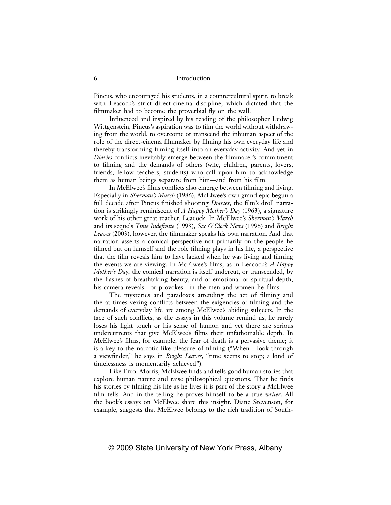Pincus, who encouraged his students, in a countercultural spirit, to break with Leacock's strict direct-cinema discipline, which dictated that the filmmaker had to become the proverbial fly on the wall.

Influenced and inspired by his reading of the philosopher Ludwig Wittgenstein, Pincus's aspiration was to film the world without withdrawing from the world, to overcome or transcend the inhuman aspect of the role of the direct-cinema filmmaker by filming his own everyday life and thereby transforming filming itself into an everyday activity. And yet in *Diaries* conflicts inevitably emerge between the filmmaker's commitment to filming and the demands of others (wife, children, parents, lovers, friends, fellow teachers, students) who call upon him to acknowledge them as human beings separate from him—and from his film.

In McElwee's films conflicts also emerge between filming and living. Especially in *Sherman's March* (1986), McElwee's own grand epic begun a full decade after Pincus finished shooting *Diaries*, the film's droll narration is strikingly reminiscent of *A Happy Mother's Day* (1963), a signature work of his other great teacher, Leacock. In McElwee's *Sherman's March* and its sequels *Time Indefinite* (1993), *Six O'Clock News* (1996) and *Bright Leaves* (2003), however, the filmmaker speaks his own narration. And that narration asserts a comical perspective not primarily on the people he filmed but on himself and the role filming plays in his life, a perspective that the film reveals him to have lacked when he was living and filming the events we are viewing. In McElwee's films, as in Leacock's *A Happy Mother's Day*, the comical narration is itself undercut, or transcended, by the flashes of breathtaking beauty, and of emotional or spiritual depth, his camera reveals—or provokes—in the men and women he films.

The mysteries and paradoxes attending the act of filming and the at times vexing conflicts between the exigencies of filming and the demands of everyday life are among McElwee's abiding subjects. In the face of such conflicts, as the essays in this volume remind us, he rarely loses his light touch or his sense of humor, and yet there are serious undercurrents that give McElwee's films their unfathomable depth. In McElwee's films, for example, the fear of death is a pervasive theme; it is a key to the narcotic-like pleasure of filming ("When I look through a viewfinder," he says in *Bright Leaves*, "time seems to stop; a kind of timelessness is momentarily achieved").

Like Errol Morris, McElwee finds and tells good human stories that explore human nature and raise philosophical questions. That he finds his stories by filming his life as he lives it is part of the story a McElwee film tells. And in the telling he proves himself to be a true *writer*. All the book's essays on McElwee share this insight. Diane Stevenson, for example, suggests that McElwee belongs to the rich tradition of South-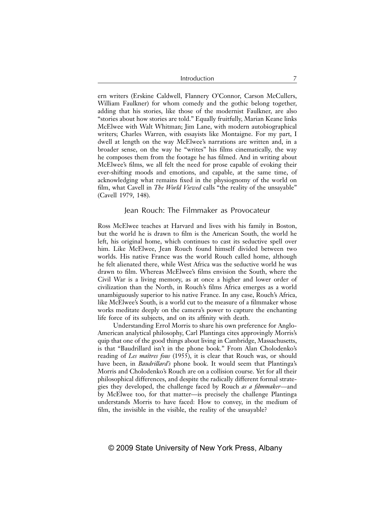ern writers (Erskine Caldwell, Flannery O'Connor, Carson McCullers, William Faulkner) for whom comedy and the gothic belong together, adding that his stories, like those of the modernist Faulkner, are also "stories about how stories are told." Equally fruitfully, Marian Keane links McElwee with Walt Whitman; Jim Lane, with modern autobiographical writers; Charles Warren, with essayists like Montaigne. For my part, I dwell at length on the way McElwee's narrations are written and, in a broader sense, on the way he "writes" his films cinematically, the way he composes them from the footage he has filmed. And in writing about McElwee's films, we all felt the need for prose capable of evoking their ever-shifting moods and emotions, and capable, at the same time, of acknowledging what remains fixed in the physiognomy of the world on film, what Cavell in *The World Viewed* calls "the reality of the unsayable" (Cavell 1979, 148).

## Jean Rouch: The Filmmaker as Provocateur

Ross McElwee teaches at Harvard and lives with his family in Boston, but the world he is drawn to film is the American South, the world he left, his original home, which continues to cast its seductive spell over him. Like McElwee, Jean Rouch found himself divided between two worlds. His native France was the world Rouch called home, although he felt alienated there, while West Africa was the seductive world he was drawn to film. Whereas McElwee's films envision the South, where the Civil War is a living memory, as at once a higher and lower order of civilization than the North, in Rouch's films Africa emerges as a world unambiguously superior to his native France. In any case, Rouch's Africa, like McElwee's South, is a world cut to the measure of a filmmaker whose works meditate deeply on the camera's power to capture the enchanting life force of its subjects, and on its affinity with death.

Understanding Errol Morris to share his own preference for Anglo-American analytical philosophy, Carl Plantinga cites approvingly Morris's quip that one of the good things about living in Cambridge, Massachusetts, is that "Baudrillard isn't in the phone book." From Alan Cholodenko's reading of *Les maîtres fous* (1955), it is clear that Rouch was, or should have been, in *Baudrillard's* phone book. It would seem that Plantinga's Morris and Cholodenko's Rouch are on a collision course. Yet for all their philosophical differences, and despite the radically different formal strategies they developed, the challenge faced by Rouch *as a filmmaker*—and by McElwee too, for that matter—is precisely the challenge Plantinga understands Morris to have faced: How to convey, in the medium of film, the invisible in the visible, the reality of the unsayable?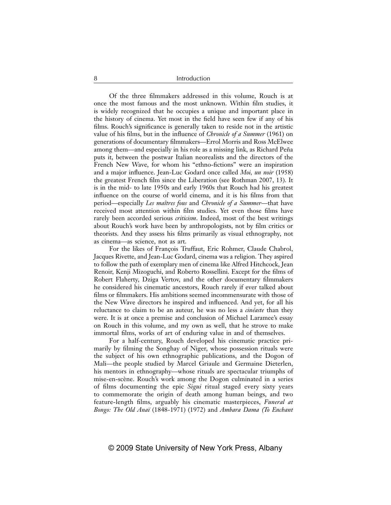Of the three filmmakers addressed in this volume. Rouch is at once the most famous and the most unknown. Within film studies, it is widely recognized that he occupies a unique and important place in the history of cinema. Yet most in the field have seen few if any of his films. Rouch's significance is generally taken to reside not in the artistic value of his films, but in the influence of *Chronicle of a Summer* (1961) on generations of documentary filmmakers—Errol Morris and Ross McElwee among them—and especially in his role as a missing link, as Richard Peña puts it, between the postwar Italian neorealists and the directors of the French New Wave, for whom his "ethno-fictions" were an inspiration and a major influence. Jean-Luc Godard once called *Moi*, un noir (1958) the greatest French film since the Liberation (see Rothman 2007, 13). It is in the mid- to late 1950s and early 1960s that Rouch had his greatest influence on the course of world cinema, and it is his films from that period—especially *Les maîtres fous* and *Chronicle of a Summer*—that have received most attention within film studies. Yet even those films have rarely been accorded serious *criticism*. Indeed, most of the best writings about Rouch's work have been by anthropologists, not by film critics or theorists. And they assess his films primarily as visual ethnography, not as cinema—as science, not as art.

For the likes of François Truffaut, Eric Rohmer, Claude Chabrol, Jacques Rivette, and Jean-Luc Godard, cinema was a religion. They aspired to follow the path of exemplary men of cinema like Alfred Hitchcock, Jean Renoir, Kenji Mizoguchi, and Roberto Rossellini. Except for the films of Robert Flaherty, Dziga Vertov, and the other documentary filmmakers he considered his cinematic ancestors, Rouch rarely if ever talked about films or filmmakers. His ambitions seemed incommensurate with those of the New Wave directors he inspired and influenced. And yet, for all his reluctance to claim to be an auteur, he was no less a *cinéaste* than they were. It is at once a premise and conclusion of Michael Laramee's essay on Rouch in this volume, and my own as well, that he strove to make immortal films, works of art of enduring value in and of themselves.

For a half-century, Rouch developed his cinematic practice primarily by filming the Songhay of Niger, whose possession rituals were the subject of his own ethnographic publications, and the Dogon of Mali—the people studied by Marcel Griaule and Germaine Dieterlen, his mentors in ethnography—whose rituals are spectacular triumphs of mise-en-scène. Rouch's work among the Dogon culminated in a series of films documenting the epic *Sigui* ritual staged every sixty years to commemorate the origin of death among human beings, and two feature-length films, arguably his cinematic masterpieces, *Funeral at Bongo: The Old Anaï* (1848-1971) (1972) and *Ambara Dama (To Enchant*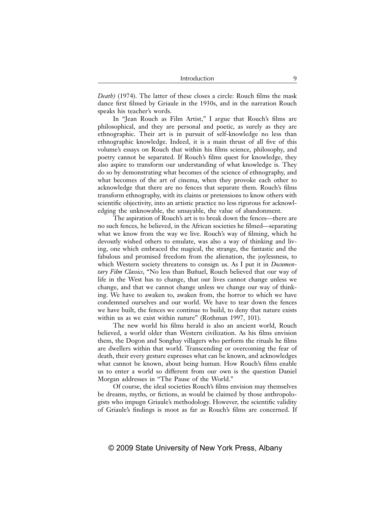*Death*) (1974). The latter of these closes a circle: Rouch films the mask dance first filmed by Griaule in the 1930s, and in the narration Rouch speaks his teacher's words.

In "Jean Rouch as Film Artist," I argue that Rouch's films are philosophical, and they are personal and poetic, as surely as they are ethnographic. Their art is in pursuit of self-knowledge no less than ethnographic knowledge. Indeed, it is a main thrust of all five of this volume's essays on Rouch that within his films science, philosophy, and poetry cannot be separated. If Rouch's films quest for knowledge, they also aspire to transform our understanding of what knowledge is. They do so by demonstrating what becomes of the science of ethnography, and what becomes of the art of cinema, when they provoke each other to acknowledge that there are no fences that separate them. Rouch's films transform ethnography, with its claims or pretensions to know others with scientific objectivity, into an artistic practice no less rigorous for acknowledging the unknowable, the unsayable, the value of abandonment.

The aspiration of Rouch's art is to break down the fences—there are no such fences, he believed, in the African societies he filmed—separating what we know from the way we live. Rouch's way of filming, which he devoutly wished others to emulate, was also a way of thinking and living, one which embraced the magical, the strange, the fantastic and the fabulous and promised freedom from the alienation, the joylessness, to which Western society threatens to consign us. As I put it in *Documentary Film Classics*, "No less than Buñuel, Rouch believed that our way of life in the West has to change, that our lives cannot change unless we change, and that we cannot change unless we change our way of thinking. We have to awaken to, awaken from, the horror to which we have condemned ourselves and our world. We have to tear down the fences we have built, the fences we continue to build, to deny that nature exists within us as we exist within nature" (Rothman 1997, 101).

The new world his films herald is also an ancient world, Rouch believed, a world older than Western civilization. As his films envision them, the Dogon and Songhay villagers who perform the rituals he films are dwellers within that world. Transcending or overcoming the fear of death, their every gesture expresses what can be known, and acknowledges what cannot be known, about being human. How Rouch's films enable us to enter a world so different from our own is the question Daniel Morgan addresses in "The Pause of the World."

Of course, the ideal societies Rouch's films envision may themselves be dreams, myths, or fictions, as would be claimed by those anthropologists who impugn Griaule's methodology. However, the scientific validity of Griaule's findings is moot as far as Rouch's films are concerned. If